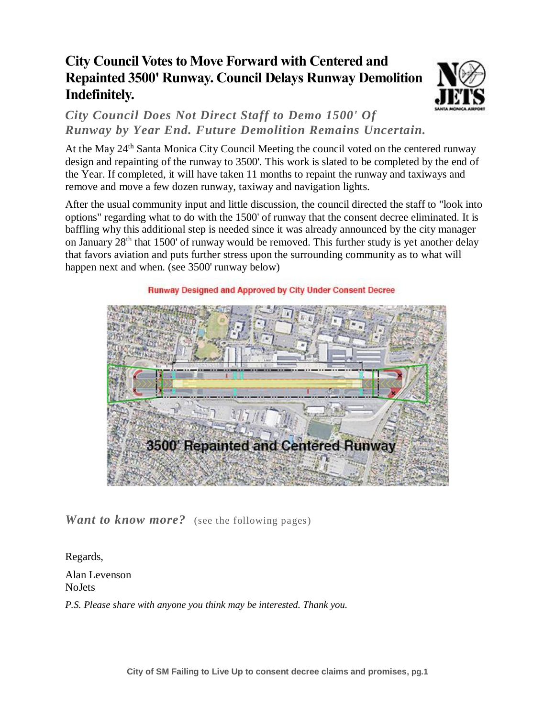## **City Council Votes to Move Forward with Centered and Repainted 3500' Runway. Council Delays Runway Demolition Indefinitely.**



*City Council Does Not Direct Staff to Demo 1500' Of Runway by Year End. Future Demolition Remains Uncertain.*

At the May 24<sup>th</sup> Santa Monica City Council Meeting the council voted on the centered runway design and repainting of the runway to 3500'. This work is slated to be completed by the end of the Year. If completed, it will have taken 11 months to repaint the runway and taxiways and remove and move a few dozen runway, taxiway and navigation lights.

After the usual community input and little discussion, the council directed the staff to "look into options" regarding what to do with the 1500' of runway that the consent decree eliminated. It is baffling why this additional step is needed since it was already announced by the city manager on January 28<sup>th</sup> that 1500' of runway would be removed. This further study is yet another delay that favors aviation and puts further stress upon the surrounding community as to what will happen next and when. (see 3500' runway below)



*Want to know more?* (see the following pages)

Regards,

Alan Levenson NoJets

*P.S. Please share with anyone you think may be interested. Thank you.*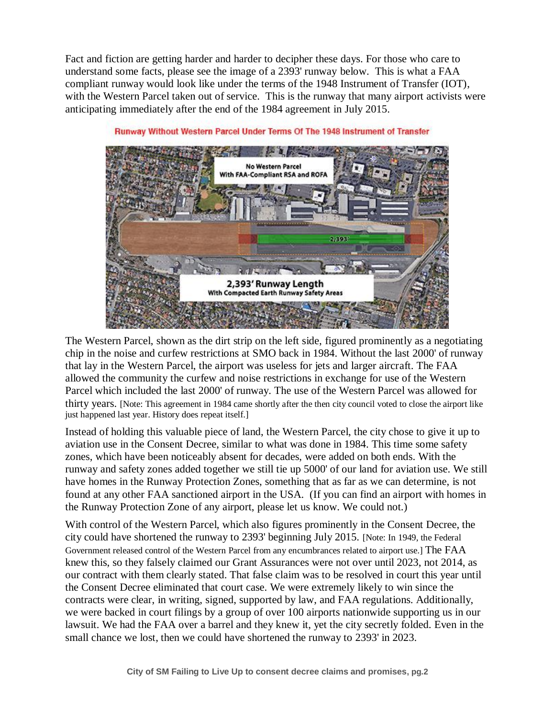Fact and fiction are getting harder and harder to decipher these days. For those who care to understand some facts, please see the image of a 2393' runway below. This is what a FAA compliant runway would look like under the terms of the 1948 Instrument of Transfer (IOT), with the Western Parcel taken out of service. This is the runway that many airport activists were anticipating immediately after the end of the 1984 agreement in July 2015.



Runway Without Western Parcel Under Terms Of The 1948 Instrument of Transfer

The Western Parcel, shown as the dirt strip on the left side, figured prominently as a negotiating chip in the noise and curfew restrictions at SMO back in 1984. Without the last 2000' of runway that lay in the Western Parcel, the airport was useless for jets and larger aircraft. The FAA allowed the community the curfew and noise restrictions in exchange for use of the Western Parcel which included the last 2000' of runway. The use of the Western Parcel was allowed for thirty years. [Note: This agreement in 1984 came shortly after the then city council voted to close the airport like just happened last year. History does repeat itself.]

Instead of holding this valuable piece of land, the Western Parcel, the city chose to give it up to aviation use in the Consent Decree, similar to what was done in 1984. This time some safety zones, which have been noticeably absent for decades, were added on both ends. With the runway and safety zones added together we still tie up 5000' of our land for aviation use. We still have homes in the Runway Protection Zones, something that as far as we can determine, is not found at any other FAA sanctioned airport in the USA. (If you can find an airport with homes in the Runway Protection Zone of any airport, please let us know. We could not.)

With control of the Western Parcel, which also figures prominently in the Consent Decree, the city could have shortened the runway to 2393' beginning July 2015. [Note: In 1949, the Federal Government released control of the Western Parcel from any encumbrances related to airport use.] The FAA knew this, so they falsely claimed our Grant Assurances were not over until 2023, not 2014, as our contract with them clearly stated. That false claim was to be resolved in court this year until the Consent Decree eliminated that court case. We were extremely likely to win since the contracts were clear, in writing, signed, supported by law, and FAA regulations. Additionally, we were backed in court filings by a group of over 100 airports nationwide supporting us in our lawsuit. We had the FAA over a barrel and they knew it, yet the city secretly folded. Even in the small chance we lost, then we could have shortened the runway to 2393' in 2023.